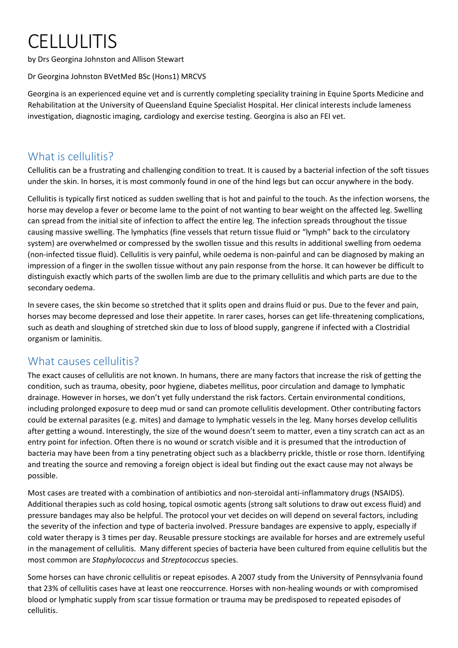# CELLULITIS

by Drs Georgina Johnston and Allison Stewart

Dr Georgina Johnston BVetMed BSc (Hons1) MRCVS

Georgina is an experienced equine vet and is currently completing speciality training in Equine Sports Medicine and Rehabilitation at the University of Queensland Equine Specialist Hospital. Her clinical interests include lameness investigation, diagnostic imaging, cardiology and exercise testing. Georgina is also an FEI vet.

### What is cellulitis?

Cellulitis can be a frustrating and challenging condition to treat. It is caused by a bacterial infection of the soft tissues under the skin. In horses, it is most commonly found in one of the hind legs but can occur anywhere in the body.

Cellulitis is typically first noticed as sudden swelling that is hot and painful to the touch. As the infection worsens, the horse may develop a fever or become lame to the point of not wanting to bear weight on the affected leg. Swelling can spread from the initial site of infection to affect the entire leg. The infection spreads throughout the tissue causing massive swelling. The lymphatics (fine vessels that return tissue fluid or "lymph" back to the circulatory system) are overwhelmed or compressed by the swollen tissue and this results in additional swelling from oedema (non-infected tissue fluid). Cellulitis is very painful, while oedema is non-painful and can be diagnosed by making an impression of a finger in the swollen tissue without any pain response from the horse. It can however be difficult to distinguish exactly which parts of the swollen limb are due to the primary cellulitis and which parts are due to the secondary oedema.

In severe cases, the skin become so stretched that it splits open and drains fluid or pus. Due to the fever and pain, horses may become depressed and lose their appetite. In rarer cases, horses can get life-threatening complications, such as death and sloughing of stretched skin due to loss of blood supply, gangrene if infected with a Clostridial organism or laminitis.

### What causes cellulitis?

The exact causes of cellulitis are not known. In humans, there are many factors that increase the risk of getting the condition, such as trauma, obesity, poor hygiene, diabetes mellitus, poor circulation and damage to lymphatic drainage. However in horses, we don't yet fully understand the risk factors. Certain environmental conditions, including prolonged exposure to deep mud or sand can promote cellulitis development. Other contributing factors could be external parasites (e.g. mites) and damage to lymphatic vessels in the leg. Many horses develop cellulitis after getting a wound. Interestingly, the size of the wound doesn't seem to matter, even a tiny scratch can act as an entry point for infection. Often there is no wound or scratch visible and it is presumed that the introduction of bacteria may have been from a tiny penetrating object such as a blackberry prickle, thistle or rose thorn. Identifying and treating the source and removing a foreign object is ideal but finding out the exact cause may not always be possible.

Most cases are treated with a combination of antibiotics and non-steroidal anti-inflammatory drugs (NSAIDS). Additional therapies such as cold hosing, topical osmotic agents (strong salt solutions to draw out excess fluid) and pressure bandages may also be helpful. The protocol your vet decides on will depend on several factors, including the severity of the infection and type of bacteria involved. Pressure bandages are expensive to apply, especially if cold water therapy is 3 times per day. Reusable pressure stockings are available for horses and are extremely useful in the management of cellulitis. Many different species of bacteria have been cultured from equine cellulitis but the most common are *Staphylococcus* and *Streptococcus* species.

Some horses can have chronic cellulitis or repeat episodes. A 2007 study from the University of Pennsylvania found that 23% of cellulitis cases have at least one reoccurrence. Horses with non-healing wounds or with compromised blood or lymphatic supply from scar tissue formation or trauma may be predisposed to repeated episodes of cellulitis.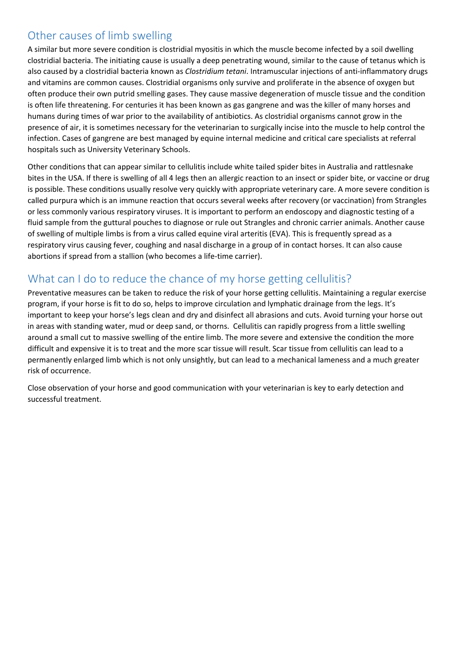### Other causes of limb swelling

A similar but more severe condition is clostridial myositis in which the muscle become infected by a soil dwelling clostridial bacteria. The initiating cause is usually a deep penetrating wound, similar to the cause of tetanus which is also caused by a clostridial bacteria known as *Clostridium tetani*. Intramuscular injections of anti-inflammatory drugs and vitamins are common causes. Clostridial organisms only survive and proliferate in the absence of oxygen but often produce their own putrid smelling gases. They cause massive degeneration of muscle tissue and the condition is often life threatening. For centuries it has been known as gas gangrene and was the killer of many horses and humans during times of war prior to the availability of antibiotics. As clostridial organisms cannot grow in the presence of air, it is sometimes necessary for the veterinarian to surgically incise into the muscle to help control the infection. Cases of gangrene are best managed by equine internal medicine and critical care specialists at referral hospitals such as University Veterinary Schools.

Other conditions that can appear similar to cellulitis include white tailed spider bites in Australia and rattlesnake bites in the USA. If there is swelling of all 4 legs then an allergic reaction to an insect or spider bite, or vaccine or drug is possible. These conditions usually resolve very quickly with appropriate veterinary care. A more severe condition is called purpura which is an immune reaction that occurs several weeks after recovery (or vaccination) from Strangles or less commonly various respiratory viruses. It is important to perform an endoscopy and diagnostic testing of a fluid sample from the guttural pouches to diagnose or rule out Strangles and chronic carrier animals. Another cause of swelling of multiple limbs is from a virus called equine viral arteritis (EVA). This is frequently spread as a respiratory virus causing fever, coughing and nasal discharge in a group of in contact horses. It can also cause abortions if spread from a stallion (who becomes a life-time carrier).

## What can I do to reduce the chance of my horse getting cellulitis?

Preventative measures can be taken to reduce the risk of your horse getting cellulitis. Maintaining a regular exercise program, if your horse is fit to do so, helps to improve circulation and lymphatic drainage from the legs. It's important to keep your horse's legs clean and dry and disinfect all abrasions and cuts. Avoid turning your horse out in areas with standing water, mud or deep sand, or thorns. Cellulitis can rapidly progress from a little swelling around a small cut to massive swelling of the entire limb. The more severe and extensive the condition the more difficult and expensive it is to treat and the more scar tissue will result. Scar tissue from cellulitis can lead to a permanently enlarged limb which is not only unsightly, but can lead to a mechanical lameness and a much greater risk of occurrence.

Close observation of your horse and good communication with your veterinarian is key to early detection and successful treatment.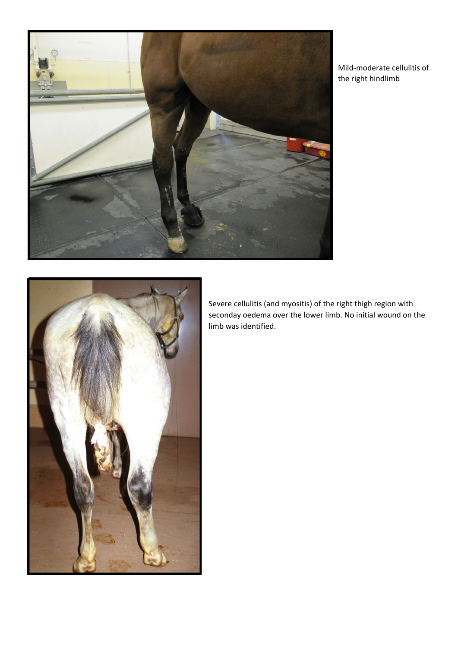

Mild-moderate cellulitis of the right hindlimb



Severe cellulitis (and myositis) of the right thigh region with seconday oedema over the lower limb. No initial wound on the limb was identified.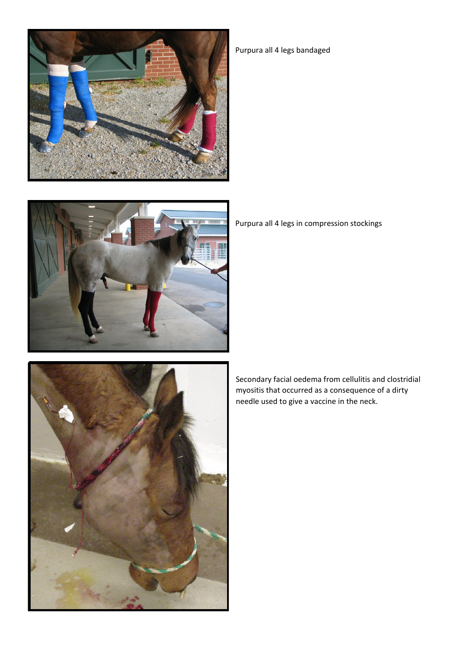



Purpura all 4 legs bandaged

Purpura all 4 legs in compression stockings

Secondary facial oedema from cellulitis and clostridial myositis that occurred as a consequence of a dirty needle used to give a vaccine in the neck.